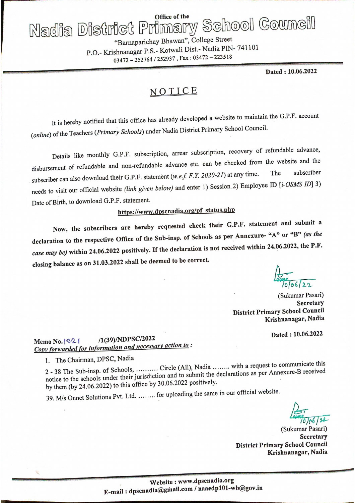# Office of the Nadia District Primary School Council

"Barnaparichay Bhawan", College Street P.O.- Krishnanagar P.S.- Kotwali Dist.- Nadia PIN-741101 03472-252764/252937, Fax: 03472-223518

Dated: 10.06.2022

## NOTICE

It is hereby notified that this office has already developed a website to maintain the G.P.F. account (online) of the Teachers (Primary Schools) under Nadia District Primary School Council.

Details like monthly G.P.F. subscription, arrear subscription, recovery of refundable advance, disbursement of refundable and non-refundable advance etc. can be checked from the website and the subscriber can also download their G.P.F. statement (w.e.f. F.Y. 2020-21) at any time. subscriber The needs to visit our official website (link given below) and enter 1) Session 2) Employee ID [i-OSMS ID] 3) Date of Birth, to download G.P.F. statement.

## https://www.dpscnadia.org/pf status.php

Now, the subscribers are hereby requested check their G.P.F. statement and submit a declaration to the respective Office of the Sub-insp. of Schools as per Annexure- "A" or "B" (as the case may be) within 24.06.2022 positively. If the declaration is not received within 24.06.2022, the P.F. closing balance as on 31.03.2022 shall be deemed to be correct.

(Sukumar Pasari) **Secretary District Primary School Council** Krishnanagar, Nadia

Dated: 10.06.2022

#### /1(39)/NDPSC/2022 Memo No.  $|Q|$ Copy forwarded for information and necessary action to:

1. The Chairman, DPSC, Nadia

2 - 38 The Sub-insp. of Schools, .......... Circle (All), Nadia ....... with a request to communicate this notice to the schools under their jurisdiction and to submit the declarations as per Annexure-B received by them (by 24.06.2022) to this office by 30.06.2022 positively.

39. M/s Onnet Solutions Pvt. Ltd. ........ for uploading the same in our official website.

(Sukumar Pasari) **Secretary District Primary School Council** Krishnanagar, Nadia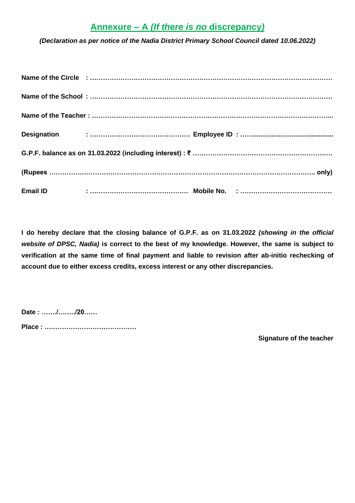### **Annexure – A** *(If there is no* **discrepancy***)*

*(Declaration as per notice of the Nadia District Primary School Council dated 10.06.2022)*

| <b>Email ID</b> |  |  |  |  |  |  |  |
|-----------------|--|--|--|--|--|--|--|

**I do hereby declare that the closing balance of G.P.F. as on 31.03.2022** *(showing in the official website of DPSC, Nadia)* **is correct to the best of my knowledge. However, the same is subject to verification at the same time of final payment and liable to revision after ab-initio rechecking of account due to either excess credits, excess interest or any other discrepancies.**

**Date : ……./……../20……**

**Place : ……………………………………**

**Signature of the teacher**